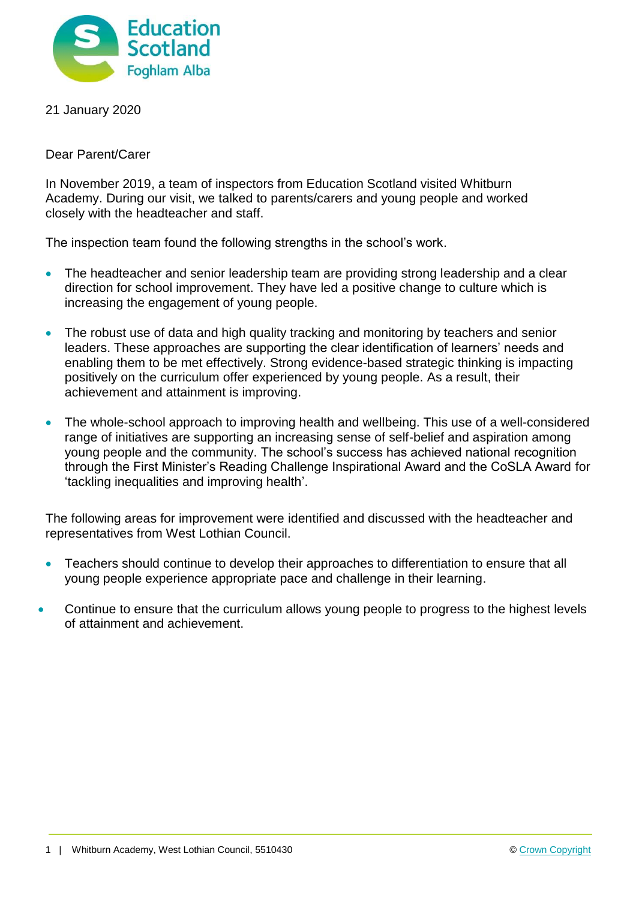

21 January 2020

Dear Parent/Carer

In November 2019, a team of inspectors from Education Scotland visited Whitburn Academy. During our visit, we talked to parents/carers and young people and worked closely with the headteacher and staff.

The inspection team found the following strengths in the school's work.

- The headteacher and senior leadership team are providing strong leadership and a clear direction for school improvement. They have led a positive change to culture which is increasing the engagement of young people.
- The robust use of data and high quality tracking and monitoring by teachers and senior leaders. These approaches are supporting the clear identification of learners' needs and enabling them to be met effectively. Strong evidence-based strategic thinking is impacting positively on the curriculum offer experienced by young people. As a result, their achievement and attainment is improving.
- The whole-school approach to improving health and wellbeing. This use of a well-considered range of initiatives are supporting an increasing sense of self-belief and aspiration among young people and the community. The school's success has achieved national recognition through the First Minister's Reading Challenge Inspirational Award and the CoSLA Award for 'tackling inequalities and improving health'.

The following areas for improvement were identified and discussed with the headteacher and representatives from West Lothian Council.

- Teachers should continue to develop their approaches to differentiation to ensure that all young people experience appropriate pace and challenge in their learning.
- Continue to ensure that the curriculum allows young people to progress to the highest levels of attainment and achievement.